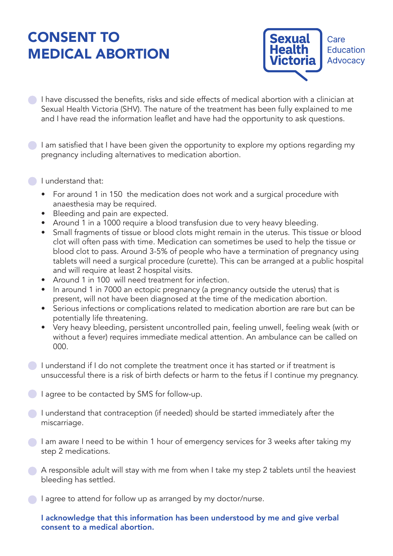## CONSENT TO MEDICAL ABORTION



- **I** have discussed the benefits, risks and side effects of medical abortion with a clinician at Sexual Health Victoria (SHV). The nature of the treatment has been fully explained to me and I have read the information leaflet and have had the opportunity to ask questions.
- I am satisfied that I have been given the opportunity to explore my options regarding my pregnancy including alternatives to medication abortion.
- I understand that:
	- For around 1 in 150 the medication does not work and a surgical procedure with anaesthesia may be required.
	- Bleeding and pain are expected.
	- Around 1 in a 1000 require a blood transfusion due to very heavy bleeding.
	- Small fragments of tissue or blood clots might remain in the uterus. This tissue or blood clot will often pass with time. Medication can sometimes be used to help the tissue or blood clot to pass. Around 3-5% of people who have a termination of pregnancy using tablets will need a surgical procedure (curette). This can be arranged at a public hospital and will require at least 2 hospital visits.
	- Around 1 in 100 will need treatment for infection.
	- In around 1 in 7000 an ectopic pregnancy (a pregnancy outside the uterus) that is present, will not have been diagnosed at the time of the medication abortion.
	- Serious infections or complications related to medication abortion are rare but can be potentially life threatening.
	- Very heavy bleeding, persistent uncontrolled pain, feeling unwell, feeling weak (with or without a fever) requires immediate medical attention. An ambulance can be called on 000.
- I understand if I do not complete the treatment once it has started or if treatment is unsuccessful there is a risk of birth defects or harm to the fetus if I continue my pregnancy.
- I agree to be contacted by SMS for follow-up.
- **I** understand that contraception (if needed) should be started immediately after the miscarriage.
- I am aware I need to be within 1 hour of emergency services for 3 weeks after taking my step 2 medications.
- A responsible adult will stay with me from when I take my step 2 tablets until the heaviest bleeding has settled.
- I agree to attend for follow up as arranged by my doctor/nurse.

I acknowledge that this information has been understood by me and give verbal consent to a medical abortion.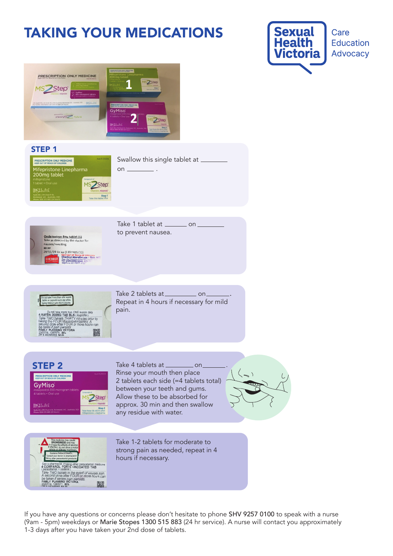## TAKING YOUR MEDICATIONS

 $on$   $\equiv$ 





## STEP 1



Swallow this single tablet at



Take 1 tablet at \_\_\_\_\_\_\_\_\_ on to prevent nausea.



Take 2 tablets at \_\_\_\_\_\_\_\_\_\_\_\_ on Repeat in 4 hours if necessary for mild pain.





Take 4 tablets at \_\_\_\_\_\_\_\_\_\_\_\_ on Rinse your mouth then place 2 tablets each side (=4 tablets total) between your teeth and gums. Allow these to be absorbed for approx. 30 min and then swallow any residue with water.





Take 1-2 tablets for moderate to strong pain as needed, repeat in 4 hours if necessary.

If you have any questions or concerns please don't hesitate to phone SHV 9257 0100 to speak with a nurse (9am - 5pm) weekdays or Marie Stopes 1300 515 883 (24 hr service). A nurse will contact you approximately 1-3 days after you have taken your 2nd dose of tablets.